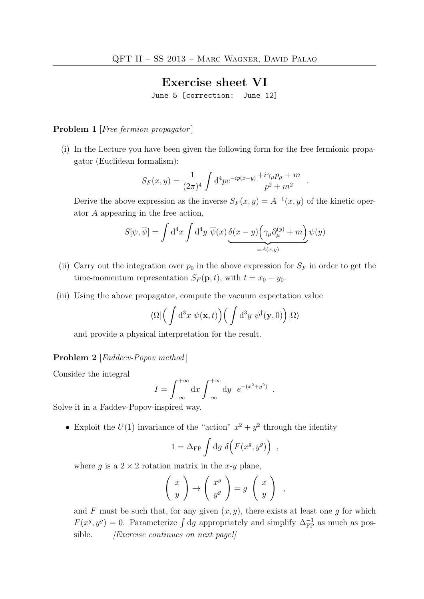## Exercise sheet VI

June 5 [correction: June 12]

## Problem 1 [*Free fermion propagator*]

(i) In the Lecture you have been given the following form for the free fermionic propagator (Euclidean formalism):

$$
S_F(x,y) = \frac{1}{(2\pi)^4} \int d^4 p e^{-ip(x-y)} \frac{+i\gamma_\mu p_\mu + m}{p^2 + m^2} .
$$

Derive the above expression as the inverse  $S_F(x, y) = A^{-1}(x, y)$  of the kinetic operator A appearing in the free action,

$$
S[\psi, \overline{\psi}] = \int d^4x \int d^4y \, \overline{\psi}(x) \underbrace{\delta(x - y) \left(\gamma_\mu \partial_\mu^{(y)} + m\right)}_{=A(x,y)} \psi(y)
$$

- (ii) Carry out the integration over  $p_0$  in the above expression for  $S_F$  in order to get the time-momentum representation  $S_F(\mathbf{p}, t)$ , with  $t = x_0 - y_0$ .
- (iii) Using the above propagator, compute the vacuum expectation value

$$
\langle \Omega | \left( \int d^3x \; \psi({\bf x},t) \right) \left( \int d^3y \; \psi^{\dagger}({\bf y},0) \right) | \Omega \rangle
$$

and provide a physical interpretation for the result.

## Problem 2 [Faddeev-Popov method]

Consider the integral

$$
I = \int_{-\infty}^{+\infty} dx \int_{-\infty}^{+\infty} dy e^{-(x^2 + y^2)}.
$$

Solve it in a Faddev-Popov-inspired way.

• Exploit the  $U(1)$  invariance of the "action"  $x^2 + y^2$  through the identity

$$
1 = \Delta_{\rm FP} \int \mathrm{d}g \; \delta\Big( F(x^g, y^g) \Big) ,
$$

where g is a  $2 \times 2$  rotation matrix in the x-y plane,

$$
\left(\begin{array}{c} x \\ y \end{array}\right) \rightarrow \left(\begin{array}{c} x^g \\ y^g \end{array}\right) = g \left(\begin{array}{c} x \\ y \end{array}\right) ,
$$

and F must be such that, for any given  $(x, y)$ , there exists at least one q for which  $F(x^g, y^g) = 0$ . Parameterize  $\int dg$  appropriately and simplify  $\Delta_{\text{FP}}^{-1}$  as much as possible. *[Exercise continues on next page!]*